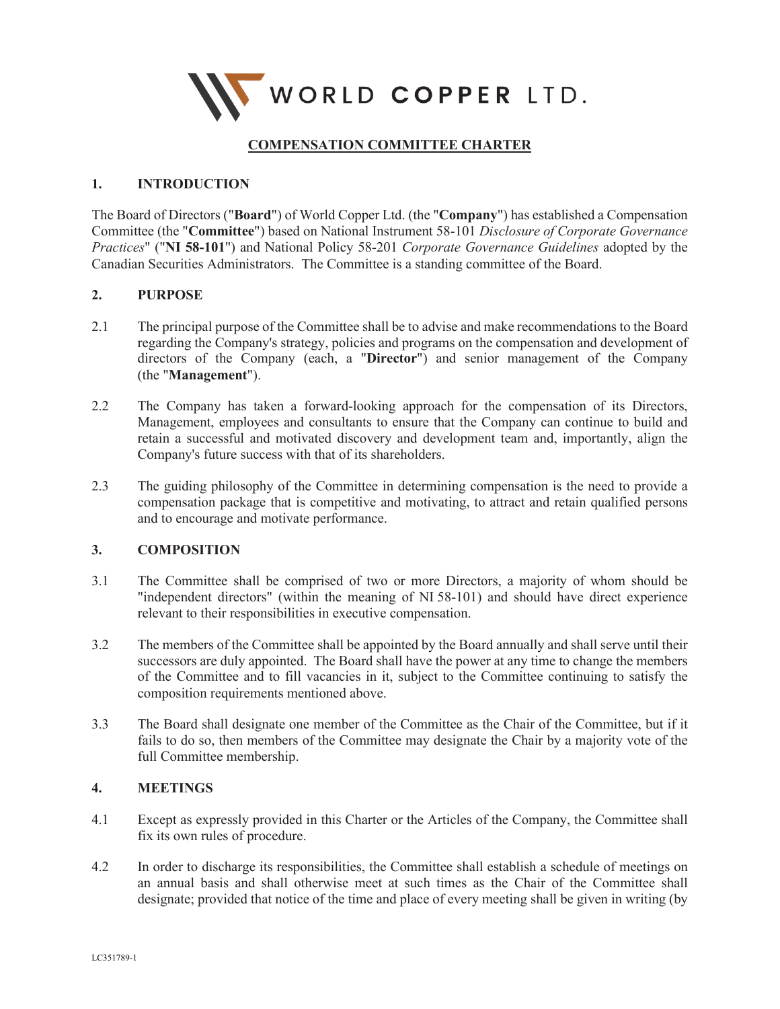

# **COMPENSATION COMMITTEE CHARTER**

### **1. INTRODUCTION**

The Board of Directors ("**Board**") of World Copper Ltd. (the "**Company**") has established a Compensation Committee (the "**Committee**") based on National Instrument 58-101 *Disclosure of Corporate Governance Practices*" ("**NI 58-101**") and National Policy 58-201 *Corporate Governance Guidelines* adopted by the Canadian Securities Administrators. The Committee is a standing committee of the Board.

### **2. PURPOSE**

- 2.1 The principal purpose of the Committee shall be to advise and make recommendations to the Board regarding the Company's strategy, policies and programs on the compensation and development of directors of the Company (each, a "**Director**") and senior management of the Company (the "**Management**").
- 2.2 The Company has taken a forward-looking approach for the compensation of its Directors, Management, employees and consultants to ensure that the Company can continue to build and retain a successful and motivated discovery and development team and, importantly, align the Company's future success with that of its shareholders.
- 2.3 The guiding philosophy of the Committee in determining compensation is the need to provide a compensation package that is competitive and motivating, to attract and retain qualified persons and to encourage and motivate performance.

#### **3. COMPOSITION**

- 3.1 The Committee shall be comprised of two or more Directors, a majority of whom should be "independent directors" (within the meaning of NI 58-101) and should have direct experience relevant to their responsibilities in executive compensation.
- 3.2 The members of the Committee shall be appointed by the Board annually and shall serve until their successors are duly appointed. The Board shall have the power at any time to change the members of the Committee and to fill vacancies in it, subject to the Committee continuing to satisfy the composition requirements mentioned above.
- 3.3 The Board shall designate one member of the Committee as the Chair of the Committee, but if it fails to do so, then members of the Committee may designate the Chair by a majority vote of the full Committee membership.

## **4. MEETINGS**

- 4.1 Except as expressly provided in this Charter or the Articles of the Company, the Committee shall fix its own rules of procedure.
- 4.2 In order to discharge its responsibilities, the Committee shall establish a schedule of meetings on an annual basis and shall otherwise meet at such times as the Chair of the Committee shall designate; provided that notice of the time and place of every meeting shall be given in writing (by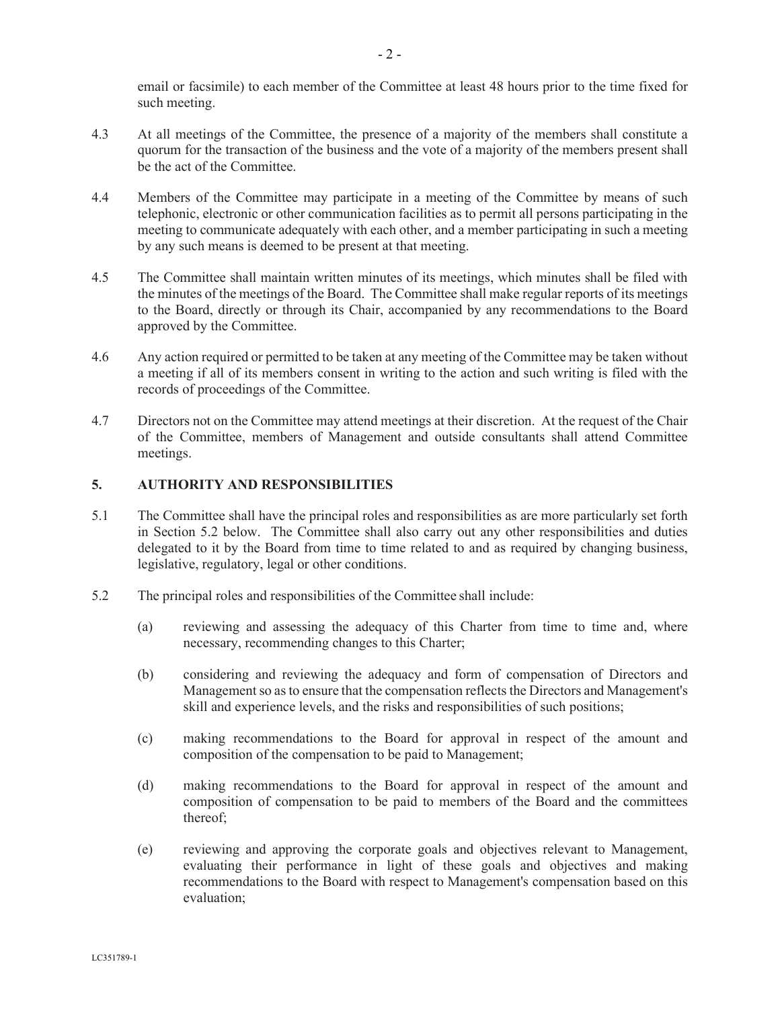email or facsimile) to each member of the Committee at least 48 hours prior to the time fixed for such meeting.

- 4.3 At all meetings of the Committee, the presence of a majority of the members shall constitute a quorum for the transaction of the business and the vote of a majority of the members present shall be the act of the Committee.
- 4.4 Members of the Committee may participate in a meeting of the Committee by means of such telephonic, electronic or other communication facilities as to permit all persons participating in the meeting to communicate adequately with each other, and a member participating in such a meeting by any such means is deemed to be present at that meeting.
- 4.5 The Committee shall maintain written minutes of its meetings, which minutes shall be filed with the minutes of the meetings of the Board. The Committee shall make regular reports of its meetings to the Board, directly or through its Chair, accompanied by any recommendations to the Board approved by the Committee.
- 4.6 Any action required or permitted to be taken at any meeting of the Committee may be taken without a meeting if all of its members consent in writing to the action and such writing is filed with the records of proceedings of the Committee.
- 4.7 Directors not on the Committee may attend meetings at their discretion. At the request of the Chair of the Committee, members of Management and outside consultants shall attend Committee meetings.

#### **5. AUTHORITY AND RESPONSIBILITIES**

- 5.1 The Committee shall have the principal roles and responsibilities as are more particularly set forth in Section 5.2 below. The Committee shall also carry out any other responsibilities and duties delegated to it by the Board from time to time related to and as required by changing business, legislative, regulatory, legal or other conditions.
- 5.2 The principal roles and responsibilities of the Committee shall include:
	- (a) reviewing and assessing the adequacy of this Charter from time to time and, where necessary, recommending changes to this Charter;
	- (b) considering and reviewing the adequacy and form of compensation of Directors and Management so as to ensure that the compensation reflects the Directors and Management's skill and experience levels, and the risks and responsibilities of such positions;
	- (c) making recommendations to the Board for approval in respect of the amount and composition of the compensation to be paid to Management;
	- (d) making recommendations to the Board for approval in respect of the amount and composition of compensation to be paid to members of the Board and the committees thereof;
	- (e) reviewing and approving the corporate goals and objectives relevant to Management, evaluating their performance in light of these goals and objectives and making recommendations to the Board with respect to Management's compensation based on this evaluation;